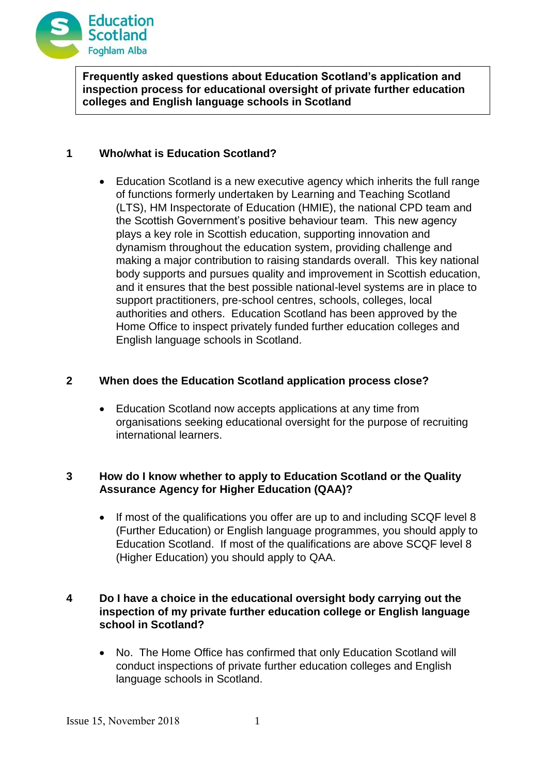

**Frequently asked questions about Education Scotland's application and inspection process for educational oversight of private further education colleges and English language schools in Scotland**

# **1 Who/what is Education Scotland?**

 Education Scotland is a new executive agency which inherits the full range of functions formerly undertaken by Learning and Teaching Scotland (LTS), HM Inspectorate of Education (HMIE), the national CPD team and the Scottish Government's positive behaviour team. This new agency plays a key role in Scottish education, supporting innovation and dynamism throughout the education system, providing challenge and making a major contribution to raising standards overall. This key national body supports and pursues quality and improvement in Scottish education, and it ensures that the best possible national-level systems are in place to support practitioners, pre-school centres, schools, colleges, local authorities and others. Education Scotland has been approved by the Home Office to inspect privately funded further education colleges and English language schools in Scotland.

# **2 When does the Education Scotland application process close?**

 Education Scotland now accepts applications at any time from organisations seeking educational oversight for the purpose of recruiting international learners.

# **3 How do I know whether to apply to Education Scotland or the Quality Assurance Agency for Higher Education (QAA)?**

 If most of the qualifications you offer are up to and including SCQF level 8 (Further Education) or English language programmes, you should apply to Education Scotland. If most of the qualifications are above SCQF level 8 (Higher Education) you should apply to QAA.

# **4 Do I have a choice in the educational oversight body carrying out the inspection of my private further education college or English language school in Scotland?**

• No. The Home Office has confirmed that only Education Scotland will conduct inspections of private further education colleges and English language schools in Scotland.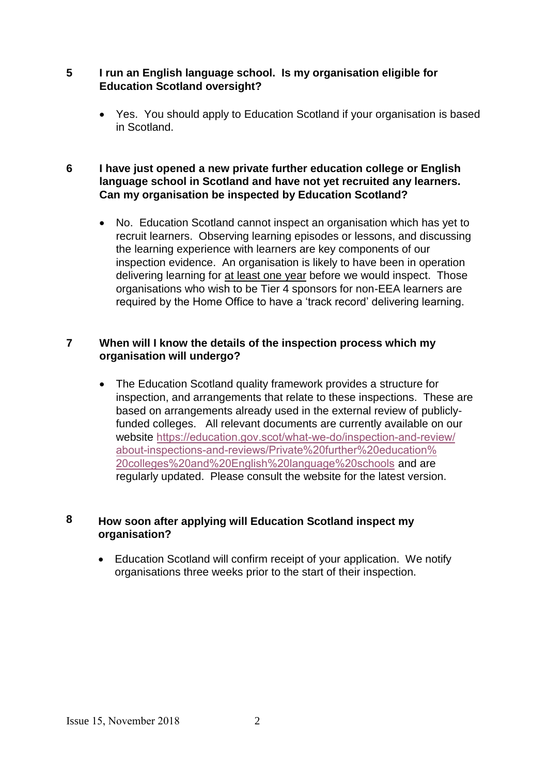### **5 I run an English language school. Is my organisation eligible for Education Scotland oversight?**

 Yes. You should apply to Education Scotland if your organisation is based in Scotland.

# **6 I have just opened a new private further education college or English language school in Scotland and have not yet recruited any learners. Can my organisation be inspected by Education Scotland?**

• No. Education Scotland cannot inspect an organisation which has yet to recruit learners. Observing learning episodes or lessons, and discussing the learning experience with learners are key components of our inspection evidence. An organisation is likely to have been in operation delivering learning for at least one year before we would inspect. Those organisations who wish to be Tier 4 sponsors for non-EEA learners are required by the Home Office to have a 'track record' delivering learning.

### **7 When will I know the details of the inspection process which my organisation will undergo?**

 The Education Scotland quality framework provides a structure for inspection, and arrangements that relate to these inspections. These are based on arrangements already used in the external review of publiclyfunded colleges. All relevant documents are currently available on our website [https://education.gov.scot/what-we-do/inspection-and-revie](http://www.educationscotland.gov.uk/inspectionandreview/)w/ about-inspections-and-reviews/Private%20further%20education% 20colleges%20and%20English%20language%20schools and are regularly updated. Please consult the website for the latest version.

# **8 How soon after applying will Education Scotland inspect my organisation?**

 Education Scotland will confirm receipt of your application. We notify organisations three weeks prior to the start of their inspection.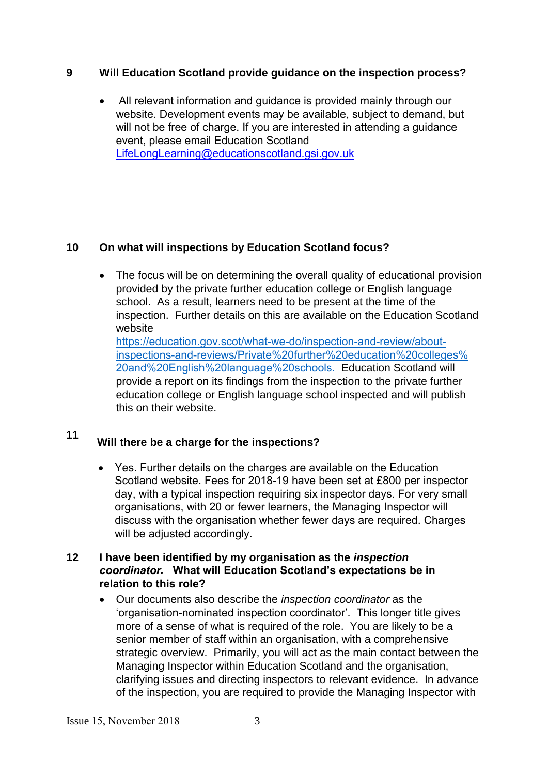# **9 Will Education Scotland provide guidance on the inspection process?**

 All relevant information and guidance is provided mainly through our website. Development events may be available, subject to demand, but will not be free of charge. If you are interested in attending a guidance event, please email Education Scotland <LifeLongLearning@educationscotland.gsi.gov.uk>

# **10 On what will inspections by Education Scotland focus?**

• The focus will be on determining the overall quality of educational provision provided by the private further education college or English language school. As a result, learners need to be present at the time of the inspection. Further details on this are available on the Education Scotland website

[https://education.gov.scot/what-we-do/inspection-and-revie](http://www.educationscotland.gov.uk/inspectionandreview/)w/aboutinspections-and-reviews/Private%20further%20education%20colleges% 20and%20English%20language%20schools. Education Scotland will provide a report on its findings from the inspection to the private further education college or English language school inspected and will publish this on their website.

# **11 Will there be a charge for the inspections?**

 Yes. Further details on the charges are available on the Education Scotland website. Fees for 2018-19 have been set at £800 per inspector day, with a typical inspection requiring six inspector days. For very small organisations, with 20 or fewer learners, the Managing Inspector will discuss with the organisation whether fewer days are required. Charges will be adjusted accordingly.

# **12 I have been identified by my organisation as the** *inspection coordinator.* **What will Education Scotland's expectations be in relation to this role?**

 Our documents also describe the *inspection coordinator* as the 'organisation-nominated inspection coordinator'. This longer title gives more of a sense of what is required of the role. You are likely to be a senior member of staff within an organisation, with a comprehensive strategic overview. Primarily, you will act as the main contact between the Managing Inspector within Education Scotland and the organisation, clarifying issues and directing inspectors to relevant evidence. In advance of the inspection, you are required to provide the Managing Inspector with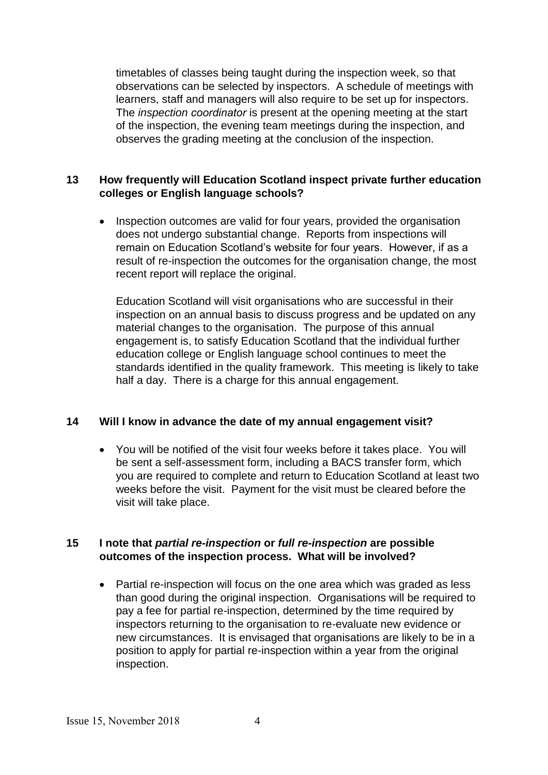timetables of classes being taught during the inspection week, so that observations can be selected by inspectors. A schedule of meetings with learners, staff and managers will also require to be set up for inspectors. The *inspection coordinator* is present at the opening meeting at the start of the inspection, the evening team meetings during the inspection, and observes the grading meeting at the conclusion of the inspection.

### **13 How frequently will Education Scotland inspect private further education colleges or English language schools?**

• Inspection outcomes are valid for four years, provided the organisation does not undergo substantial change. Reports from inspections will remain on Education Scotland's website for four years. However, if as a result of re-inspection the outcomes for the organisation change, the most recent report will replace the original.

Education Scotland will visit organisations who are successful in their inspection on an annual basis to discuss progress and be updated on any material changes to the organisation. The purpose of this annual engagement is, to satisfy Education Scotland that the individual further education college or English language school continues to meet the standards identified in the quality framework. This meeting is likely to take half a day. There is a charge for this annual engagement.

# **14 Will I know in advance the date of my annual engagement visit?**

 You will be notified of the visit four weeks before it takes place. You will be sent a self-assessment form, including a BACS transfer form, which you are required to complete and return to Education Scotland at least two weeks before the visit.Payment for the visit must be cleared before the visit will take place.

#### **15 I note that** *partial re-inspection* **or** *full re-inspection* **are possible outcomes of the inspection process. What will be involved?**

• Partial re-inspection will focus on the one area which was graded as less than good during the original inspection. Organisations will be required to pay a fee for partial re-inspection, determined by the time required by inspectors returning to the organisation to re-evaluate new evidence or new circumstances. It is envisaged that organisations are likely to be in a position to apply for partial re-inspection within a year from the original inspection.